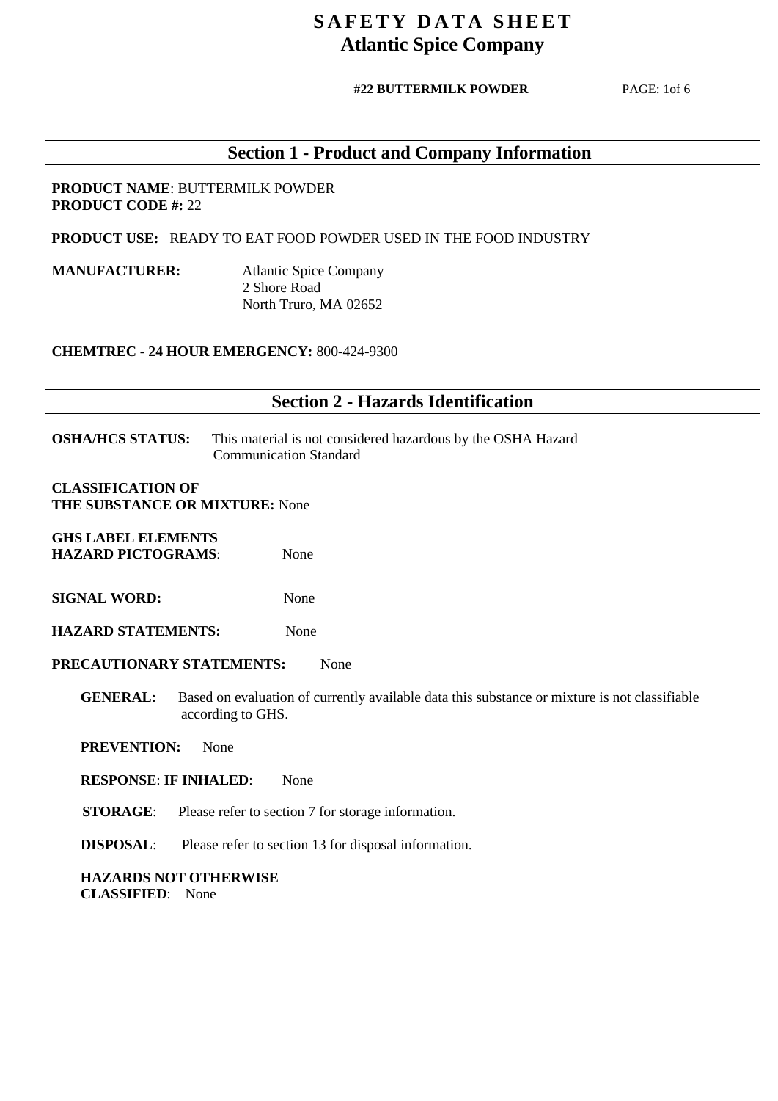#### **#22 BUTTERMILK POWDER** PAGE: 1of 6

# **Section 1 - Product and Company Information**

#### **PRODUCT NAME**: BUTTERMILK POWDER **PRODUCT CODE #:** 22

 **PRODUCT USE:** READY TO EAT FOOD POWDER USED IN THE FOOD INDUSTRY

**MANUFACTURER:** Atlantic Spice Company 2 Shore Road North Truro, MA 02652

**CHEMTREC - 24 HOUR EMERGENCY:** 800-424-9300

### **Section 2 - Hazards Identification**

**OSHA/HCS STATUS:** This material is not considered hazardous by the OSHA Hazard Communication Standard

**CLASSIFICATION OF THE SUBSTANCE OR MIXTURE:** None

**GHS LABEL ELEMENTS HAZARD PICTOGRAMS**: None

**SIGNAL WORD:** None

**HAZARD STATEMENTS:** None

**PRECAUTIONARY STATEMENTS:** None

**GENERAL:** Based on evaluation of currently available data this substance or mixture is not classifiable according to GHS.

 **PREVENTION:** None

**RESPONSE**: **IF INHALED**: None

**STORAGE:** Please refer to section 7 for storage information.

**DISPOSAL**: Please refer to section 13 for disposal information.

 **HAZARDS NOT OTHERWISE CLASSIFIED**: None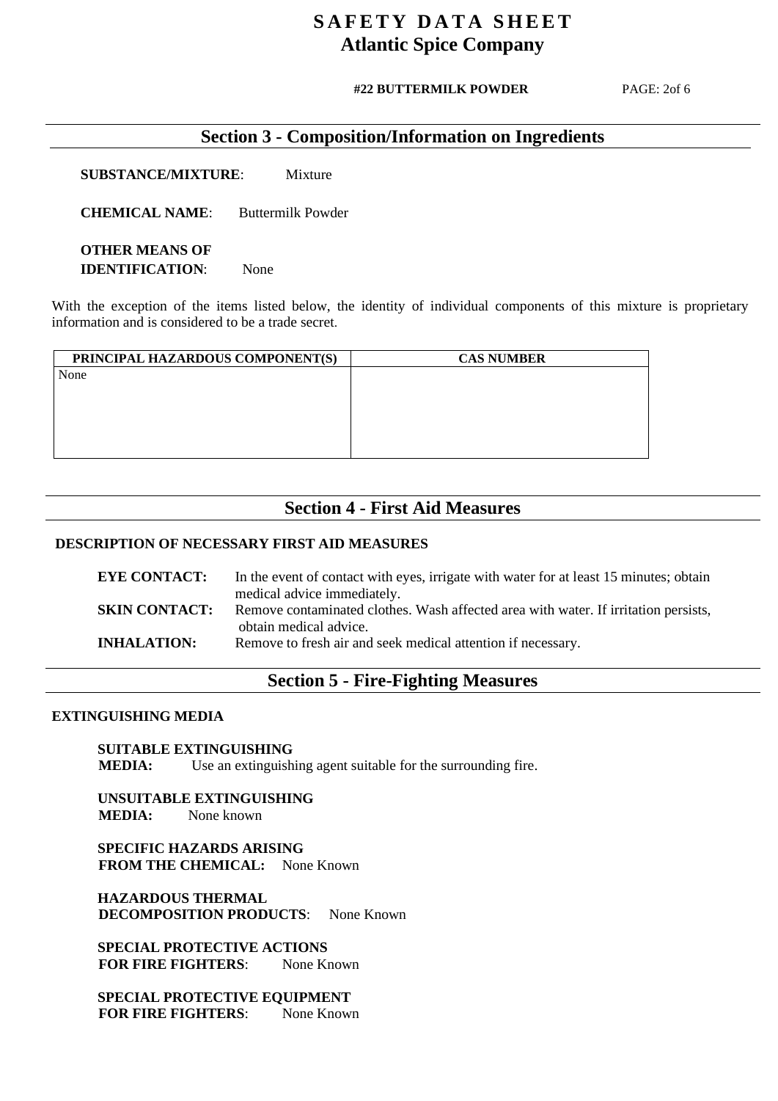#### **#22 BUTTERMILK POWDER**

PAGE: 2of 6

### **Section 3 - Composition/Information on Ingredients**

**SUBSTANCE/MIXTURE**: Mixture

**CHEMICAL NAME**: Buttermilk Powder

 **OTHER MEANS OF IDENTIFICATION**: None

With the exception of the items listed below, the identity of individual components of this mixture is proprietary information and is considered to be a trade secret.

| PRINCIPAL HAZARDOUS COMPONENT(S) | <b>CAS NUMBER</b> |
|----------------------------------|-------------------|
| None                             |                   |
|                                  |                   |
|                                  |                   |
|                                  |                   |
|                                  |                   |
|                                  |                   |

### **Section 4 - First Aid Measures**

#### **DESCRIPTION OF NECESSARY FIRST AID MEASURES**

| <b>EYE CONTACT:</b>  | In the event of contact with eyes, irrigate with water for at least 15 minutes; obtain |
|----------------------|----------------------------------------------------------------------------------------|
|                      | medical advice immediately.                                                            |
| <b>SKIN CONTACT:</b> | Remove contaminated clothes. Wash affected area with water. If irritation persists,    |
|                      | obtain medical advice.                                                                 |
| <b>INHALATION:</b>   | Remove to fresh air and seek medical attention if necessary.                           |
|                      |                                                                                        |

### **Section 5 - Fire-Fighting Measures**

#### **EXTINGUISHING MEDIA**

#### **SUITABLE EXTINGUISHING**

**MEDIA:** Use an extinguishing agent suitable for the surrounding fire.

 **UNSUITABLE EXTINGUISHING MEDIA:** None known

 **SPECIFIC HAZARDS ARISING FROM THE CHEMICAL:** None Known

 **HAZARDOUS THERMAL DECOMPOSITION PRODUCTS:** None Known

 **SPECIAL PROTECTIVE ACTIONS FOR FIRE FIGHTERS:** None Known

 **SPECIAL PROTECTIVE EQUIPMENT FOR FIRE FIGHTERS:** None Known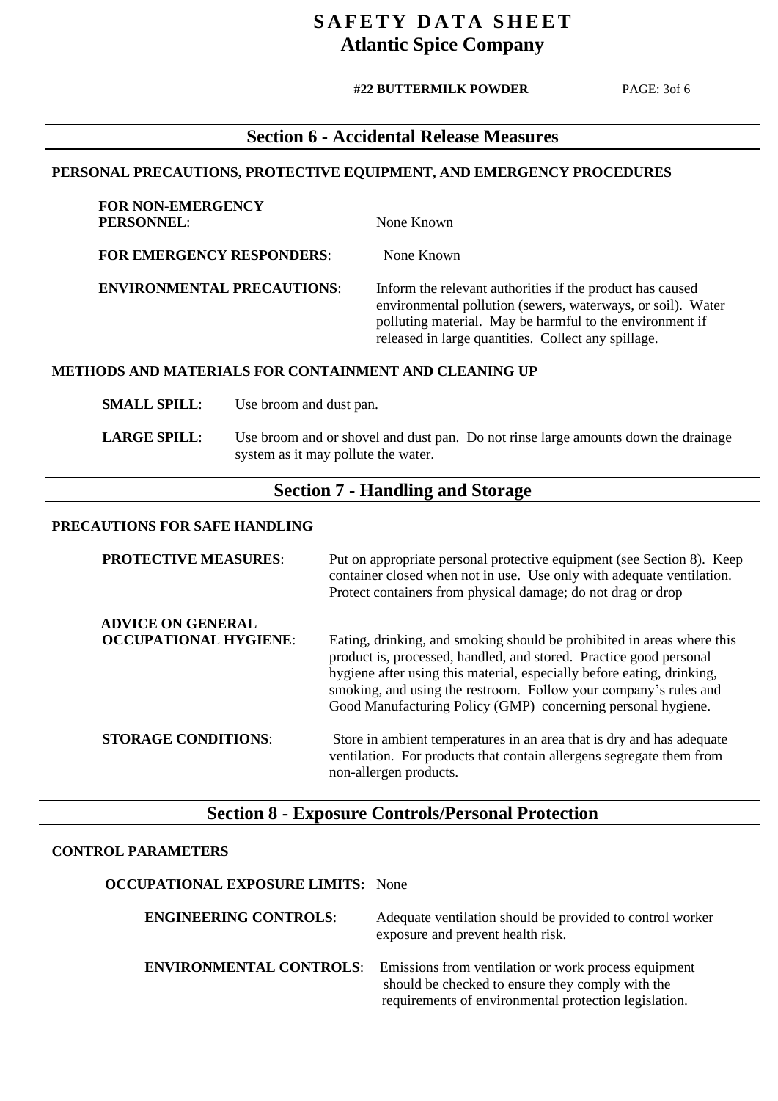#### **#22 BUTTERMILK POWDER**

PAGE: 3of 6

## **Section 6 - Accidental Release Measures**

#### **PERSONAL PRECAUTIONS, PROTECTIVE EQUIPMENT, AND EMERGENCY PROCEDURES**

| FOR NON-EMERGENCY<br><b>PERSONNEL:</b> | None Known                                                                                                                                                                                                                                  |
|----------------------------------------|---------------------------------------------------------------------------------------------------------------------------------------------------------------------------------------------------------------------------------------------|
| <b>FOR EMERGENCY RESPONDERS:</b>       | None Known                                                                                                                                                                                                                                  |
| <b>ENVIRONMENTAL PRECAUTIONS:</b>      | Inform the relevant authorities if the product has caused<br>environmental pollution (sewers, waterways, or soil). Water<br>polluting material. May be harmful to the environment if<br>released in large quantities. Collect any spillage. |

#### **METHODS AND MATERIALS FOR CONTAINMENT AND CLEANING UP**

**SMALL SPILL:** Use broom and dust pan.

**LARGE SPILL:** Use broom and or shovel and dust pan. Do not rinse large amounts down the drainage system as it may pollute the water.

### **Section 7 - Handling and Storage**

#### **PRECAUTIONS FOR SAFE HANDLING**

**FOR NON-EMERGENCY** 

**PROTECTIVE MEASURES:** Put on appropriate personal protective equipment (see Section 8). Keep container closed when not in use. Use only with adequate ventilation. Protect containers from physical damage; do not drag or drop **ADVICE ON GENERAL OCCUPATIONAL HYGIENE:** Eating, drinking, and smoking should be prohibited in areas where this product is, processed, handled, and stored. Practice good personal hygiene after using this material, especially before eating, drinking, smoking, and using the restroom. Follow your company's rules and Good Manufacturing Policy (GMP) concerning personal hygiene. **STORAGE CONDITIONS:** Store in ambient temperatures in an area that is dry and has adequate ventilation. For products that contain allergens segregate them from non-allergen products.

### **Section 8 - Exposure Controls/Personal Protection**

#### **CONTROL PARAMETERS**

| <b>OCCUPATIONAL EXPOSURE LIMITS:</b> None |                                                                                                                                                                   |
|-------------------------------------------|-------------------------------------------------------------------------------------------------------------------------------------------------------------------|
| <b>ENGINEERING CONTROLS:</b>              | Adequate ventilation should be provided to control worker<br>exposure and prevent health risk.                                                                    |
| <b>ENVIRONMENTAL CONTROLS:</b>            | Emissions from ventilation or work process equipment<br>should be checked to ensure they comply with the<br>requirements of environmental protection legislation. |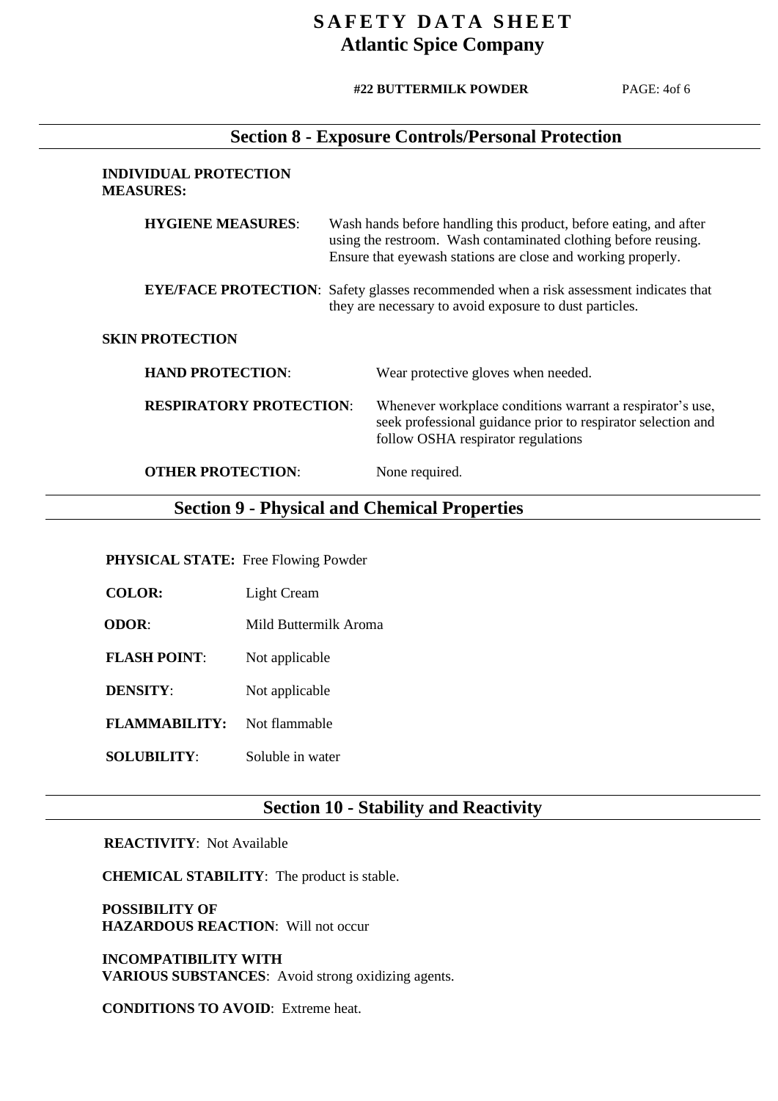#### **#22 BUTTERMILK POWDER**

PAGE: 4of 6

### **Section 8 - Exposure Controls/Personal Protection**

#### **INDIVIDUAL PROTECTION MEASURES:**

| <b>HYGIENE MEASURES:</b>       | Wash hands before handling this product, before eating, and after<br>using the restroom. Wash contaminated clothing before reusing.<br>Ensure that eyewash stations are close and working properly. |  |
|--------------------------------|-----------------------------------------------------------------------------------------------------------------------------------------------------------------------------------------------------|--|
|                                | <b>EYE/FACE PROTECTION:</b> Safety glasses recommended when a risk assessment indicates that<br>they are necessary to avoid exposure to dust particles.                                             |  |
| <b>SKIN PROTECTION</b>         |                                                                                                                                                                                                     |  |
| <b>HAND PROTECTION:</b>        | Wear protective gloves when needed.                                                                                                                                                                 |  |
| <b>RESPIRATORY PROTECTION:</b> | Whenever workplace conditions warrant a respirator's use,<br>seek professional guidance prior to respirator selection and<br>follow OSHA respirator regulations                                     |  |

**OTHER PROTECTION:** None required.

### **Section 9 - Physical and Chemical Properties**

#### **PHYSICAL STATE:** Free Flowing Powder

 **COLOR:** Light Cream

**ODOR:** Mild Buttermilk Aroma

**FLASH POINT:** Not applicable

**DENSITY:** Not applicable

**FLAMMABILITY:** Not flammable

**SOLUBILITY:** Soluble in water

## **Section 10 - Stability and Reactivity**

#### **REACTIVITY**: Not Available

**CHEMICAL STABILITY**: The product is stable.

 **POSSIBILITY OF HAZARDOUS REACTION**: Will not occur

 **INCOMPATIBILITY WITH VARIOUS SUBSTANCES**: Avoid strong oxidizing agents.

**CONDITIONS TO AVOID**: Extreme heat.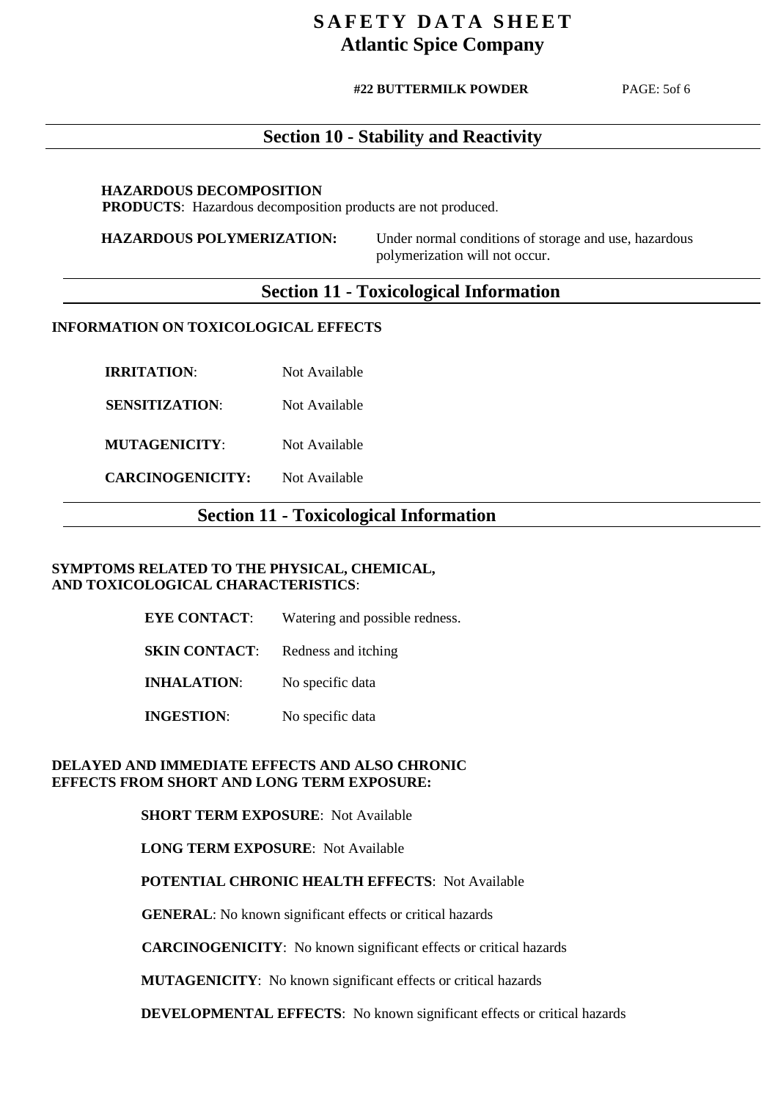#### **#22 BUTTERMILK POWDER**

PAGE: 5of 6

### **Section 10 - Stability and Reactivity**

#### **HAZARDOUS DECOMPOSITION**

PRODUCTS: Hazardous decomposition products are not produced.

 **HAZARDOUS POLYMERIZATION:** Under normal conditions of storage and use, hazardous polymerization will not occur.

### **Section 11 - Toxicological Information**

#### **INFORMATION ON TOXICOLOGICAL EFFECTS**

**IRRITATION:** Not Available

**SENSITIZATION:** Not Available

**MUTAGENICITY:** Not Available

**CARCINOGENICITY:** Not Available

### **Section 11 - Toxicological Information**

#### **SYMPTOMS RELATED TO THE PHYSICAL, CHEMICAL, AND TOXICOLOGICAL CHARACTERISTICS**:

| <b>EYE CONTACT:</b>  | Watering and possible redness. |
|----------------------|--------------------------------|
| <b>SKIN CONTACT:</b> | Redness and itching            |
| <b>INHALATION:</b>   | No specific data               |
| <b>INGESTION:</b>    | No specific data               |

#### **DELAYED AND IMMEDIATE EFFECTS AND ALSO CHRONIC EFFECTS FROM SHORT AND LONG TERM EXPOSURE:**

#### **SHORT TERM EXPOSURE**: Not Available

 **LONG TERM EXPOSURE**: Not Available

 **POTENTIAL CHRONIC HEALTH EFFECTS**: Not Available

 **GENERAL**: No known significant effects or critical hazards

**CARCINOGENICITY**: No known significant effects or critical hazards

**MUTAGENICITY**: No known significant effects or critical hazards

 **DEVELOPMENTAL EFFECTS**: No known significant effects or critical hazards